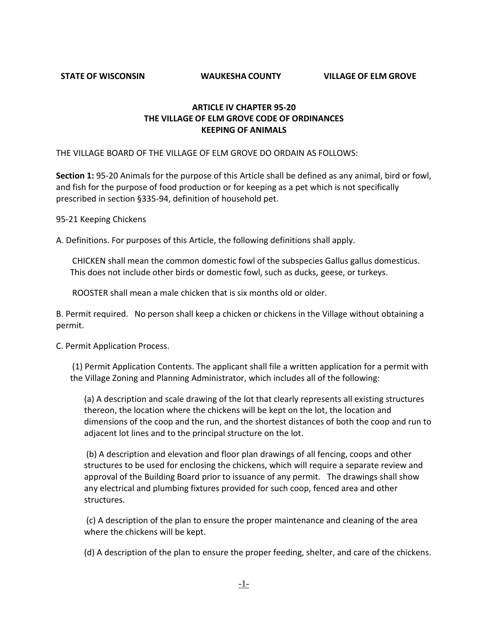**STATE OF WISCONSIN WAUKESHA COUNTY VILLAGE OF ELM GROVE**

## **ARTICLE IV CHAPTER 95-20 THE VILLAGE OF ELM GROVE CODE OF ORDINANCES KEEPING OF ANIMALS**

THE VILLAGE BOARD OF THE VILLAGE OF ELM GROVE DO ORDAIN AS FOLLOWS:

**Section 1:** 95-20 Animals for the purpose of this Article shall be defined as any animal, bird or fowl, and fish for the purpose of food production or for keeping as a pet which is not specifically prescribed in section §335-94, definition of household pet.

95-21 Keeping Chickens

A. Definitions. For purposes of this Article, the following definitions shall apply.

CHICKEN shall mean the common domestic fowl of the subspecies Gallus gallus domesticus. This does not include other birds or domestic fowl, such as ducks, geese, or turkeys.

ROOSTER shall mean a male chicken that is six months old or older.

B. Permit required. No person shall keep a chicken or chickens in the Village without obtaining a permit.

C. Permit Application Process.

(1) Permit Application Contents. The applicant shall file a written application for a permit with the Village Zoning and Planning Administrator, which includes all of the following:

(a) A description and scale drawing of the lot that clearly represents all existing structures thereon, the location where the chickens will be kept on the lot, the location and dimensions of the coop and the run, and the shortest distances of both the coop and run to adjacent lot lines and to the principal structure on the lot.

(b) A description and elevation and floor plan drawings of all fencing, coops and other structures to be used for enclosing the chickens, which will require a separate review and approval of the Building Board prior to issuance of any permit. The drawings shall show any electrical and plumbing fixtures provided for such coop, fenced area and other structures.

(c) A description of the plan to ensure the proper maintenance and cleaning of the area where the chickens will be kept.

(d) A description of the plan to ensure the proper feeding, shelter, and care of the chickens.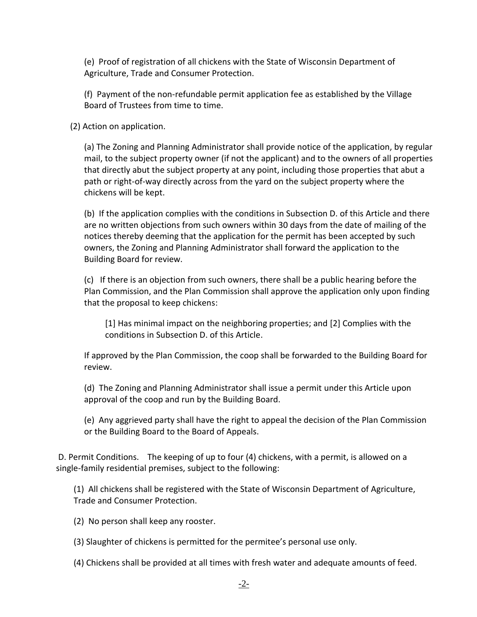(e) Proof of registration of all chickens with the State of Wisconsin Department of Agriculture, Trade and Consumer Protection.

(f) Payment of the non-refundable permit application fee as established by the Village Board of Trustees from time to time.

(2) Action on application.

(a) The Zoning and Planning Administrator shall provide notice of the application, by regular mail, to the subject property owner (if not the applicant) and to the owners of all properties that directly abut the subject property at any point, including those properties that abut a path or right-of-way directly across from the yard on the subject property where the chickens will be kept.

(b) If the application complies with the conditions in Subsection D. of this Article and there are no written objections from such owners within 30 days from the date of mailing of the notices thereby deeming that the application for the permit has been accepted by such owners, the Zoning and Planning Administrator shall forward the application to the Building Board for review.

(c) If there is an objection from such owners, there shall be a public hearing before the Plan Commission, and the Plan Commission shall approve the application only upon finding that the proposal to keep chickens:

[1] Has minimal impact on the neighboring properties; and [2] Complies with the conditions in Subsection D. of this Article.

If approved by the Plan Commission, the coop shall be forwarded to the Building Board for review.

(d) The Zoning and Planning Administrator shall issue a permit under this Article upon approval of the coop and run by the Building Board.

(e) Any aggrieved party shall have the right to appeal the decision of the Plan Commission or the Building Board to the Board of Appeals.

D. Permit Conditions. The keeping of up to four (4) chickens, with a permit, is allowed on a single-family residential premises, subject to the following:

(1) All chickens shall be registered with the State of Wisconsin Department of Agriculture, Trade and Consumer Protection.

(2) No person shall keep any rooster.

(3) Slaughter of chickens is permitted for the permitee's personal use only.

(4) Chickens shall be provided at all times with fresh water and adequate amounts of feed.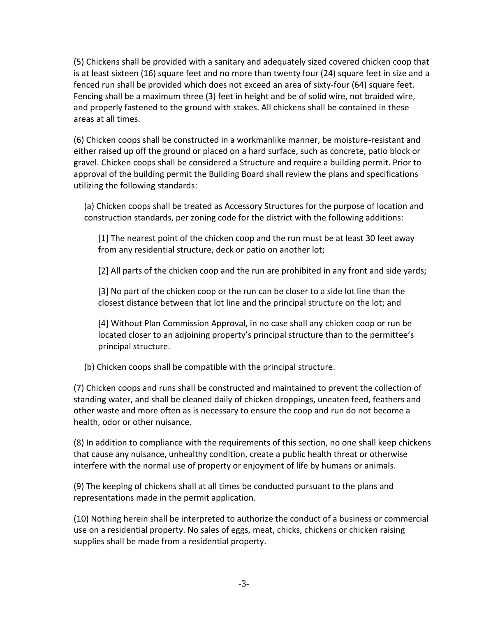(5) Chickens shall be provided with a sanitary and adequately sized covered chicken coop that is at least sixteen (16) square feet and no more than twenty four (24) square feet in size and a fenced run shall be provided which does not exceed an area of sixty-four (64) square feet. Fencing shall be a maximum three (3) feet in height and be of solid wire, not braided wire, and properly fastened to the ground with stakes. All chickens shall be contained in these areas at all times.

(6) Chicken coops shall be constructed in a workmanlike manner, be moisture-resistant and either raised up off the ground or placed on a hard surface, such as concrete, patio block or gravel. Chicken coops shall be considered a Structure and require a building permit. Prior to approval of the building permit the Building Board shall review the plans and specifications utilizing the following standards:

(a) Chicken coops shall be treated as Accessory Structures for the purpose of location and construction standards, per zoning code for the district with the following additions:

[1] The nearest point of the chicken coop and the run must be at least 30 feet away from any residential structure, deck or patio on another lot;

[2] All parts of the chicken coop and the run are prohibited in any front and side yards;

[3] No part of the chicken coop or the run can be closer to a side lot line than the closest distance between that lot line and the principal structure on the lot; and

[4] Without Plan Commission Approval, in no case shall any chicken coop or run be located closer to an adjoining property's principal structure than to the permittee's principal structure.

(b) Chicken coops shall be compatible with the principal structure.

(7) Chicken coops and runs shall be constructed and maintained to prevent the collection of standing water, and shall be cleaned daily of chicken droppings, uneaten feed, feathers and other waste and more often as is necessary to ensure the coop and run do not become a health, odor or other nuisance.

(8) In addition to compliance with the requirements of this section, no one shall keep chickens that cause any nuisance, unhealthy condition, create a public health threat or otherwise interfere with the normal use of property or enjoyment of life by humans or animals.

(9) The keeping of chickens shall at all times be conducted pursuant to the plans and representations made in the permit application.

(10) Nothing herein shall be interpreted to authorize the conduct of a business or commercial use on a residential property. No sales of eggs, meat, chicks, chickens or chicken raising supplies shall be made from a residential property.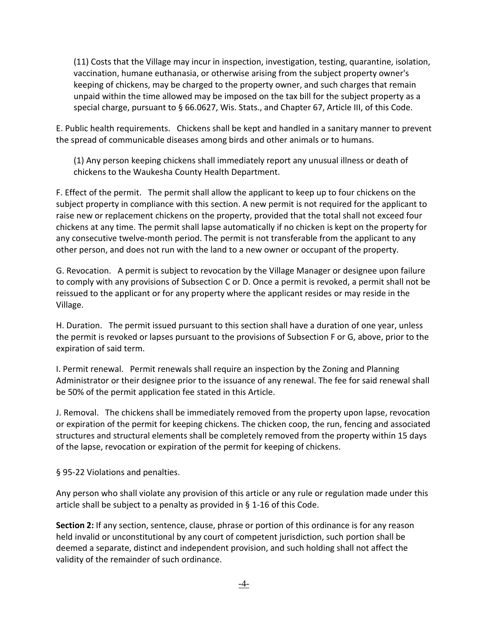(11) Costs that the Village may incur in inspection, investigation, testing, quarantine, isolation, vaccination, humane euthanasia, or otherwise arising from the subject property owner's keeping of chickens, may be charged to the property owner, and such charges that remain unpaid within the time allowed may be imposed on the tax bill for the subject property as a special charge, pursuant to § 66.0627, Wis. Stats., and Chapter 67, Article III, of this Code.

E. Public health requirements. Chickens shall be kept and handled in a sanitary manner to prevent the spread of communicable diseases among birds and other animals or to humans.

(1) Any person keeping chickens shall immediately report any unusual illness or death of chickens to the Waukesha County Health Department.

F. Effect of the permit. The permit shall allow the applicant to keep up to four chickens on the subject property in compliance with this section. A new permit is not required for the applicant to raise new or replacement chickens on the property, provided that the total shall not exceed four chickens at any time. The permit shall lapse automatically if no chicken is kept on the property for any consecutive twelve-month period. The permit is not transferable from the applicant to any other person, and does not run with the land to a new owner or occupant of the property.

G. Revocation. A permit is subject to revocation by the Village Manager or designee upon failure to comply with any provisions of Subsection C or D. Once a permit is revoked, a permit shall not be reissued to the applicant or for any property where the applicant resides or may reside in the Village.

H. Duration. The permit issued pursuant to this section shall have a duration of one year, unless the permit is revoked or lapses pursuant to the provisions of Subsection F or G, above, prior to the expiration of said term.

I. Permit renewal. Permit renewals shall require an inspection by the Zoning and Planning Administrator or their designee prior to the issuance of any renewal. The fee for said renewal shall be 50% of the permit application fee stated in this Article.

J. Removal. The chickens shall be immediately removed from the property upon lapse, revocation or expiration of the permit for keeping chickens. The chicken coop, the run, fencing and associated structures and structural elements shall be completely removed from the property within 15 days of the lapse, revocation or expiration of the permit for keeping of chickens.

§ 95-22 Violations and penalties.

Any person who shall violate any provision of this article or any rule or regulation made under this article shall be subject to a penalty as provided in § 1-16 of this Code.

**Section 2:** If any section, sentence, clause, phrase or portion of this ordinance is for any reason held invalid or unconstitutional by any court of competent jurisdiction, such portion shall be deemed a separate, distinct and independent provision, and such holding shall not affect the validity of the remainder of such ordinance.